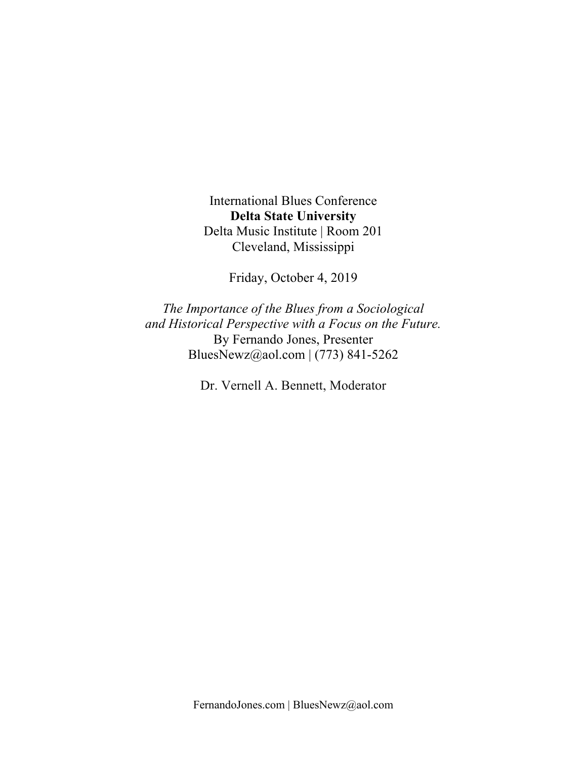International Blues Conference **Delta State University** Delta Music Institute | Room 201 Cleveland, Mississippi

Friday, October 4, 2019

*The Importance of the Blues from a Sociological and Historical Perspective with a Focus on the Future.* By Fernando Jones, Presenter BluesNewz@aol.com | (773) 841-5262

Dr. Vernell A. Bennett, Moderator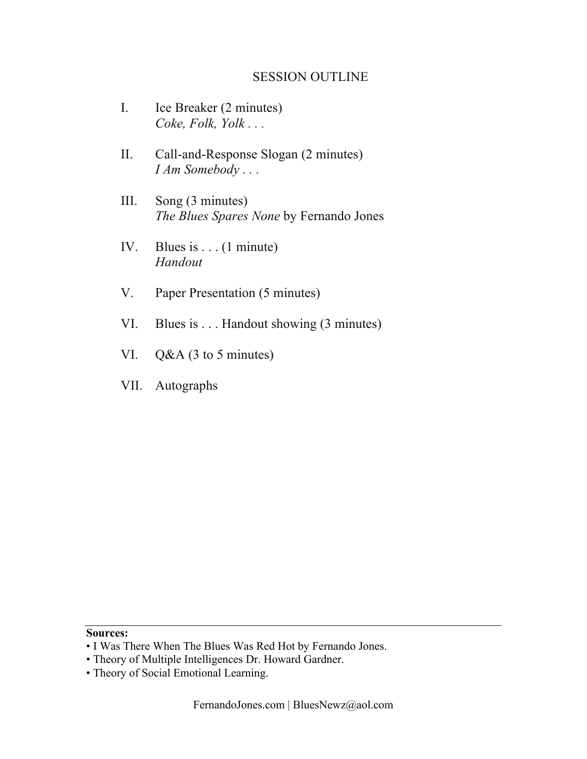### SESSION OUTLINE

- I. Ice Breaker (2 minutes) *Coke, Folk, Yolk . . .*
- II. Call-and-Response Slogan (2 minutes) *I Am Somebody . . .*
- III. Song (3 minutes) *The Blues Spares None* by Fernando Jones
- IV. Blues is . . . (1 minute) *Handout*
- V. Paper Presentation (5 minutes)
- VI. Blues is . . . Handout showing (3 minutes)
- VI. Q&A (3 to 5 minutes)
- VII. Autographs

#### **Sources:**

- I Was There When The Blues Was Red Hot by Fernando Jones.
- Theory of Multiple Intelligences Dr. Howard Gardner.
- Theory of Social Emotional Learning.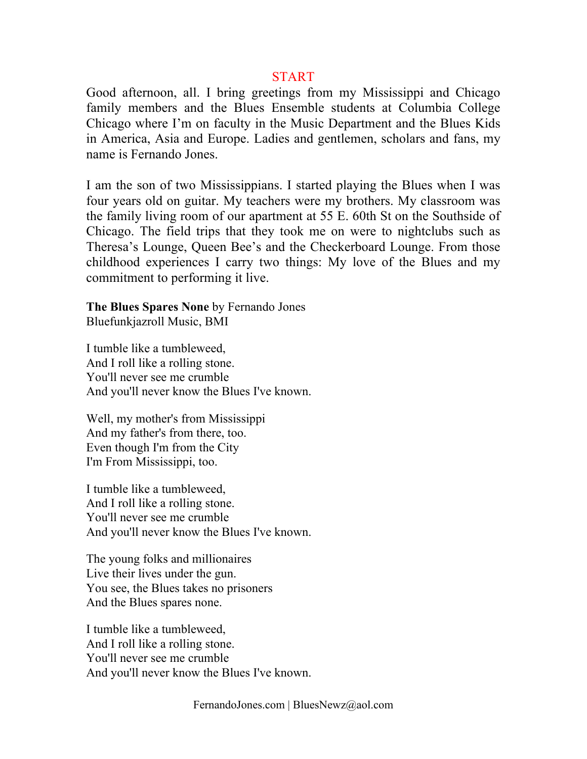#### START

Good afternoon, all. I bring greetings from my Mississippi and Chicago family members and the Blues Ensemble students at Columbia College Chicago where I'm on faculty in the Music Department and the Blues Kids in America, Asia and Europe. Ladies and gentlemen, scholars and fans, my name is Fernando Jones.

I am the son of two Mississippians. I started playing the Blues when I was four years old on guitar. My teachers were my brothers. My classroom was the family living room of our apartment at 55 E. 60th St on the Southside of Chicago. The field trips that they took me on were to nightclubs such as Theresa's Lounge, Queen Bee's and the Checkerboard Lounge. From those childhood experiences I carry two things: My love of the Blues and my commitment to performing it live.

**The Blues Spares None** by Fernando Jones Bluefunkjazroll Music, BMI

I tumble like a tumbleweed, And I roll like a rolling stone. You'll never see me crumble And you'll never know the Blues I've known.

Well, my mother's from Mississippi And my father's from there, too. Even though I'm from the City I'm From Mississippi, too.

I tumble like a tumbleweed, And I roll like a rolling stone. You'll never see me crumble And you'll never know the Blues I've known.

The young folks and millionaires Live their lives under the gun. You see, the Blues takes no prisoners And the Blues spares none.

I tumble like a tumbleweed, And I roll like a rolling stone. You'll never see me crumble And you'll never know the Blues I've known.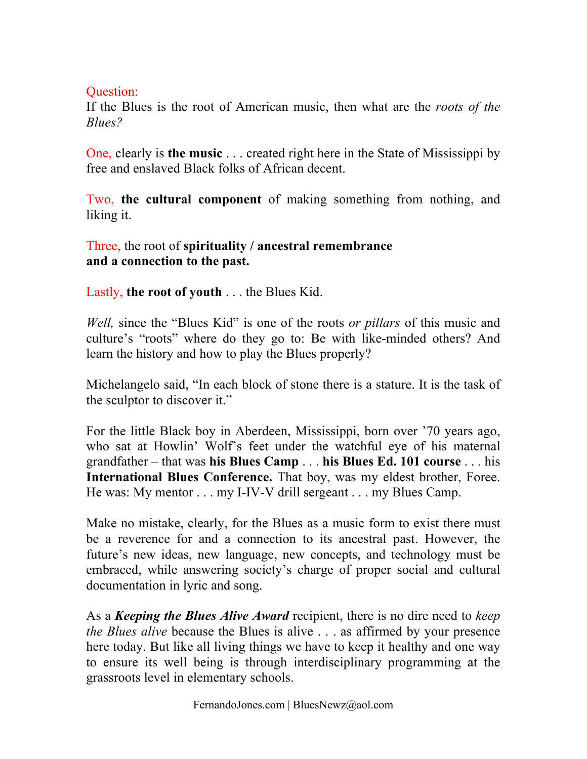## Question:

If the Blues is the root of American music, then what are the *roots of the Blues?*

One, clearly is **the music** . . . created right here in the State of Mississippi by free and enslaved Black folks of African decent.

Two, **the cultural component** of making something from nothing, and liking it.

Three, the root of **spirituality / ancestral remembrance and a connection to the past.**

Lastly, **the root of youth** . . . the Blues Kid.

*Well,* since the "Blues Kid" is one of the roots *or pillars* of this music and culture's "roots" where do they go to: Be with like-minded others? And learn the history and how to play the Blues properly?

Michelangelo said, "In each block of stone there is a stature. It is the task of the sculptor to discover it."

For the little Black boy in Aberdeen, Mississippi, born over '70 years ago, who sat at Howlin' Wolf's feet under the watchful eye of his maternal grandfather – that was **his Blues Camp** . . . **his Blues Ed. 101 course** . . . his **International Blues Conference.** That boy, was my eldest brother, Foree. He was: My mentor . . . my I-IV-V drill sergeant . . . my Blues Camp.

Make no mistake, clearly, for the Blues as a music form to exist there must be a reverence for and a connection to its ancestral past. However, the future's new ideas, new language, new concepts, and technology must be embraced, while answering society's charge of proper social and cultural documentation in lyric and song.

As a *Keeping the Blues Alive Award* recipient, there is no dire need to *keep the Blues alive* because the Blues is alive . . . as affirmed by your presence here today. But like all living things we have to keep it healthy and one way to ensure its well being is through interdisciplinary programming at the grassroots level in elementary schools.